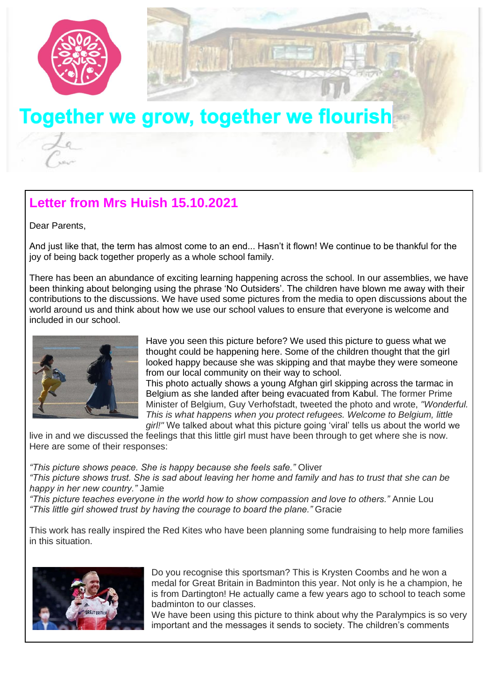

## **Letter from Mrs Huish 15.10.2021**

Dear Parents,

And just like that, the term has almost come to an end... Hasn't it flown! We continue to be thankful for the joy of being back together properly as a whole school family.

There has been an abundance of exciting learning happening across the school. In our assemblies, we have been thinking about belonging using the phrase 'No Outsiders'. The children have blown me away with their contributions to the discussions. We have used some pictures from the media to open discussions about the world around us and think about how we use our school values to ensure that everyone is welcome and included in our school.



Have you seen this picture before? We used this picture to guess what we thought could be happening here. Some of the children thought that the girl looked happy because she was skipping and that maybe they were someone from our local community on their way to school.

This photo actually shows a young Afghan girl skipping across the tarmac in Belgium as she landed after being evacuated from Kabul. The former Prime Minister of Belgium, Guy Verhofstadt, tweeted the photo and wrote, *"Wonderful. This is what happens when you protect refugees. Welcome to Belgium, little girl!"* We talked about what this picture going 'viral' tells us about the world we

live in and we discussed the feelings that this little girl must have been through to get where she is now. Here are some of their responses:

*"This picture shows peace. She is happy because she feels safe."* Oliver

*"This picture shows trust. She is sad about leaving her home and family and has to trust that she can be happy in her new country."* Jamie

*"This picture teaches everyone in the world how to show compassion and love to others."* Annie Lou *"This little girl showed trust by having the courage to board the plane."* Gracie

This work has really inspired the Red Kites who have been planning some fundraising to help more families in this situation.



Do you recognise this sportsman? This is Krysten Coombs and he won a medal for Great Britain in Badminton this year. Not only is he a champion, he is from Dartington! He actually came a few years ago to school to teach some badminton to our classes.

We have been using this picture to think about why the Paralympics is so very important and the messages it sends to society. The children's comments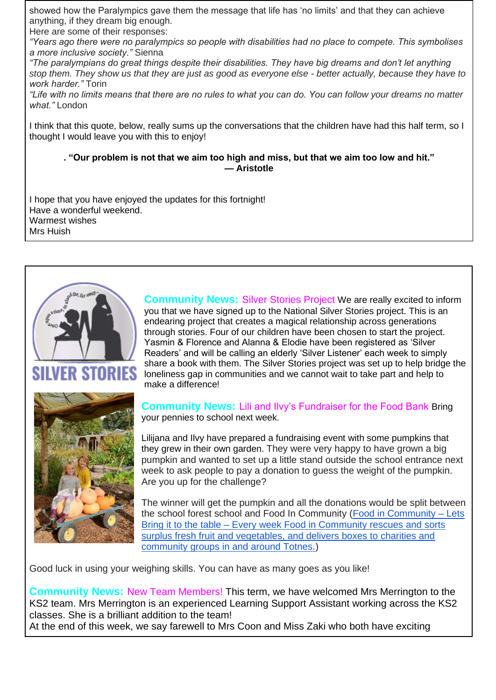showed how the Paralympics gave them the message that life has 'no limits' and that they can achieve anything, if they dream big enough.

Here are some of their responses:

*"Years ago there were no paralympics so people with disabilities had no place to compete. This symbolises a more inclusive society."* Sienna

*"The paralympians do great things despite their disabilities. They have big dreams and don't let anything stop them. They show us that they are just as good as everyone else - better actually, because they have to work harder."* Torin

*"Life with no limits means that there are no rules to what you can do. You can follow your dreams no matter what."* London

I think that this quote, below, really sums up the conversations that the children have had this half term, so I thought I would leave you with this to enjoy!

**. "Our problem is not that we aim too high and miss, but that we aim too low and hit." — Aristotle**

I hope that you have enjoyed the updates for this fortnight! Have a wonderful weekend. Warmest wishes Mrs Huish



STORIES



**Community News:** Silver Stories Project We are really excited to inform you that we have signed up to the National Silver Stories project. This is an endearing project that creates a magical relationship across generations through stories. Four of our children have been chosen to start the project. Yasmin & Florence and Alanna & Elodie have been registered as 'Silver Readers' and will be calling an elderly 'Silver Listener' each week to simply share a book with them. The Silver Stories project was set up to help bridge the loneliness gap in communities and we cannot wait to take part and help to make a difference!

**Community News:** Lili and Ilvy's Fundraiser for the Food Bank Bring your pennies to school next week.

Lilijana and Ilvy have prepared a fundraising event with some pumpkins that they grew in their own garden. They were very happy to have grown a big pumpkin and wanted to set up a little stand outside the school entrance next week to ask people to pay a donation to guess the weight of the pumpkin. Are you up for the challenge?

The winner will get the pumpkin and all the donations would be split between the school forest school and Food In Community [\(Food in Community –](https://foodincommunity.org/) Lets Bring it to the table – [Every week Food in Community rescues and sorts](https://foodincommunity.org/)  [surplus fresh fruit and vegetables, and delivers boxes to charities and](https://foodincommunity.org/)  [community groups in and around Totnes.\)](https://foodincommunity.org/)

Good luck in using your weighing skills. You can have as many goes as you like!

**Community News:** New Team Members! This term, we have welcomed Mrs Merrington to the KS2 team. Mrs Merrington is an experienced Learning Support Assistant working across the KS2 classes. She is a brilliant addition to the team! At the end of this week, we say farewell to Mrs Coon and Miss Zaki who both have exciting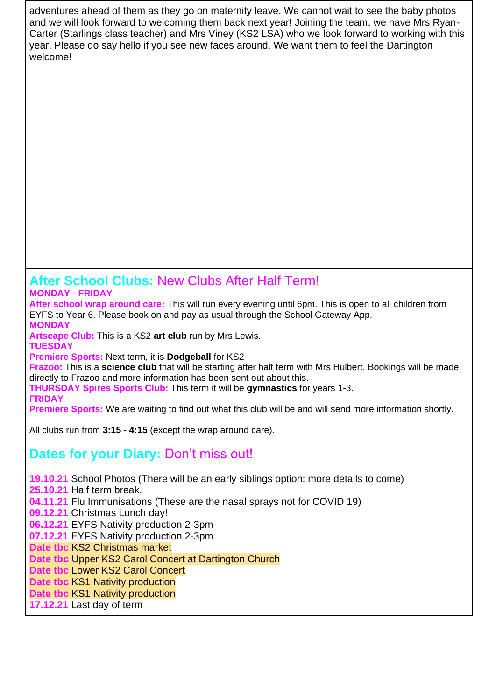adventures ahead of them as they go on maternity leave. We cannot wait to see the baby photos and we will look forward to welcoming them back next year! Joining the team, we have Mrs Ryan-Carter (Starlings class teacher) and Mrs Viney (KS2 LSA) who we look forward to working with this year. Please do say hello if you see new faces around. We want them to feel the Dartington welcome!

## **After School Clubs:** New Clubs After Half Term! **MONDAY - FRIDAY**

**After school wrap around care:** This will run every evening until 6pm. This is open to all children from EYFS to Year 6. Please book on and pay as usual through the School Gateway App. **MONDAY** 

**Artscape Club:** This is a KS2 **art club** run by Mrs Lewis.

**TUESDAY Premiere Sports:** Next term, it is **Dodgeball** for KS2

**Frazoo:** This is a **science club** that will be starting after half term with Mrs Hulbert. Bookings will be made directly to Frazoo and more information has been sent out about this.

**THURSDAY Spires Sports Club:** This term it will be **gymnastics** for years 1-3.

**FRIDAY**

**Premiere Sports:** We are waiting to find out what this club will be and will send more information shortly.

All clubs run from **3:15 - 4:15** (except the wrap around care).

## **Dates for your Diary:** Don't miss out!

**19.10.21** School Photos (There will be an early siblings option: more details to come) **25.10.21** Half term break. **04.11.21** Flu Immunisations (These are the nasal sprays not for COVID 19) **09.12.21** Christmas Lunch day!

**06.12.21** EYFS Nativity production 2-3pm

**07.12.21** EYFS Nativity production 2-3pm

**Date tbc** KS2 Christmas market

**Date tbc** Upper KS2 Carol Concert at Dartington Church

**Date tbc** Lower KS2 Carol Concert

**Date tbc** KS1 Nativity production

**Date tbc** KS1 Nativity production

**17.12.21** Last day of term